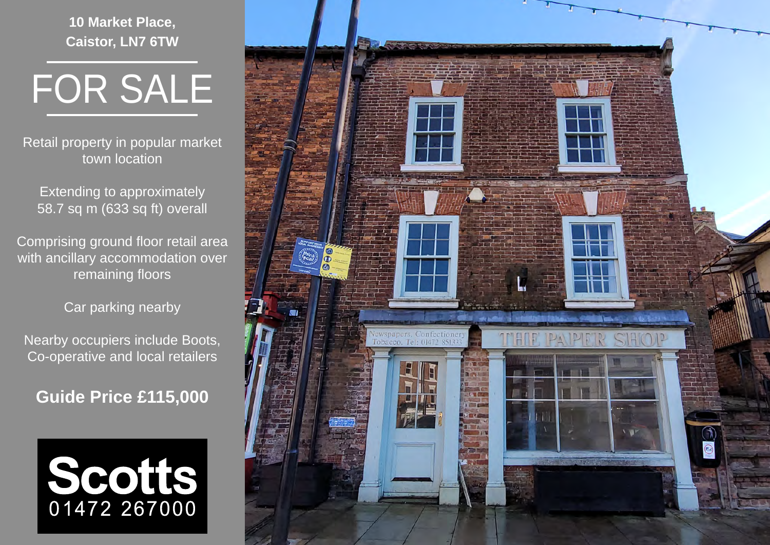**10 Market Place, Caistor, LN7 6TW**



Retail property in popular market town location

Extending to approximately 58.7 sq m (633 sq ft) overall

Comprising ground floor retail area with ancillary accommodation over remaining floors

Car parking nearby

Nearby occupiers include Boots, Co-operative and local retailers

**Guide Price £115,000**